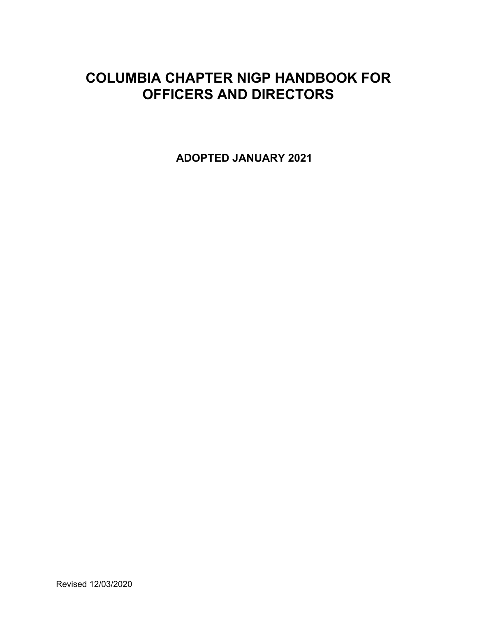# **COLUMBIA CHAPTER NIGP HANDBOOK FOR OFFICERS AND DIRECTORS**

**ADOPTED JANUARY 2021**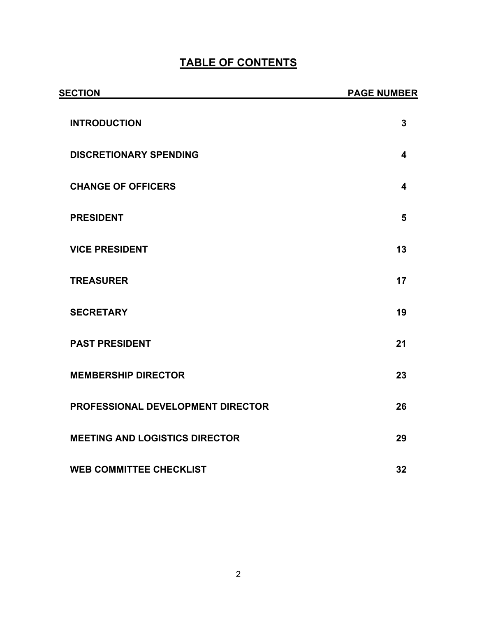# **TABLE OF CONTENTS**

| <b>SECTION</b>                        | <b>PAGE NUMBER</b> |
|---------------------------------------|--------------------|
| <b>INTRODUCTION</b>                   | 3                  |
| <b>DISCRETIONARY SPENDING</b>         | 4                  |
| <b>CHANGE OF OFFICERS</b>             | 4                  |
| <b>PRESIDENT</b>                      | 5                  |
| <b>VICE PRESIDENT</b>                 | 13                 |
| <b>TREASURER</b>                      | 17                 |
| <b>SECRETARY</b>                      | 19                 |
| <b>PAST PRESIDENT</b>                 | 21                 |
| <b>MEMBERSHIP DIRECTOR</b>            | 23                 |
| PROFESSIONAL DEVELOPMENT DIRECTOR     | 26                 |
| <b>MEETING AND LOGISTICS DIRECTOR</b> | 29                 |
| <b>WEB COMMITTEE CHECKLIST</b>        | 32                 |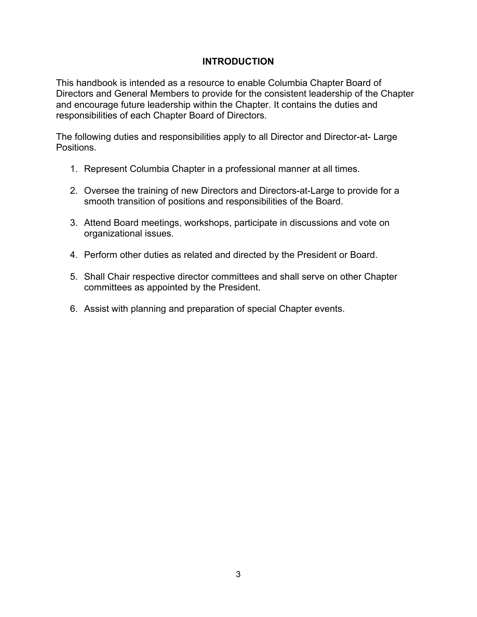#### **INTRODUCTION**

This handbook is intended as a resource to enable Columbia Chapter Board of Directors and General Members to provide for the consistent leadership of the Chapter and encourage future leadership within the Chapter. It contains the duties and responsibilities of each Chapter Board of Directors.

The following duties and responsibilities apply to all Director and Director-at- Large Positions.

- 1. Represent Columbia Chapter in a professional manner at all times.
- 2. Oversee the training of new Directors and Directors-at-Large to provide for a smooth transition of positions and responsibilities of the Board.
- 3. Attend Board meetings, workshops, participate in discussions and vote on organizational issues.
- 4. Perform other duties as related and directed by the President or Board.
- 5. Shall Chair respective director committees and shall serve on other Chapter committees as appointed by the President.
- 6. Assist with planning and preparation of special Chapter events.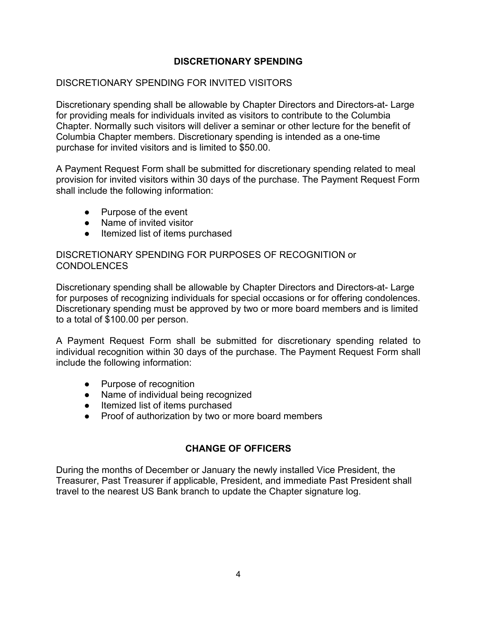# **DISCRETIONARY SPENDING**

#### DISCRETIONARY SPENDING FOR INVITED VISITORS

Discretionary spending shall be allowable by Chapter Directors and Directors-at- Large for providing meals for individuals invited as visitors to contribute to the Columbia Chapter. Normally such visitors will deliver a seminar or other lecture for the benefit of Columbia Chapter members. Discretionary spending is intended as a one-time purchase for invited visitors and is limited to \$50.00.

A Payment Request Form shall be submitted for discretionary spending related to meal provision for invited visitors within 30 days of the purchase. The Payment Request Form shall include the following information:

- Purpose of the event
- Name of invited visitor
- Itemized list of items purchased

DISCRETIONARY SPENDING FOR PURPOSES OF RECOGNITION or CONDOLENCES

Discretionary spending shall be allowable by Chapter Directors and Directors-at- Large for purposes of recognizing individuals for special occasions or for offering condolences. Discretionary spending must be approved by two or more board members and is limited to a total of \$100.00 per person.

A Payment Request Form shall be submitted for discretionary spending related to individual recognition within 30 days of the purchase. The Payment Request Form shall include the following information:

- Purpose of recognition
- Name of individual being recognized
- Itemized list of items purchased
- Proof of authorization by two or more board members

## **CHANGE OF OFFICERS**

During the months of December or January the newly installed Vice President, the Treasurer, Past Treasurer if applicable, President, and immediate Past President shall travel to the nearest US Bank branch to update the Chapter signature log.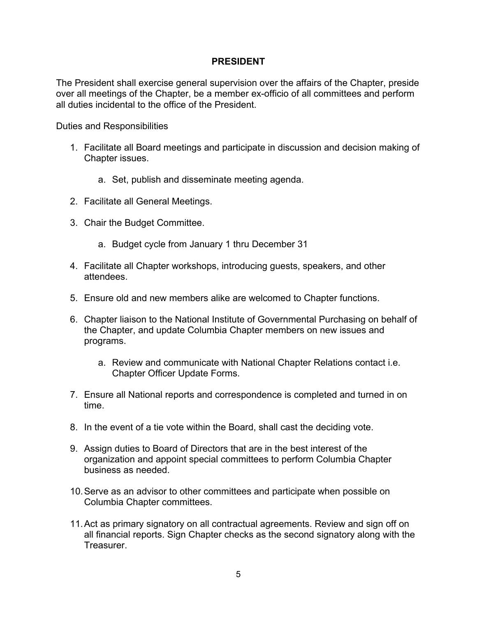#### **PRESIDENT**

The President shall exercise general supervision over the affairs of the Chapter, preside over all meetings of the Chapter, be a member ex-officio of all committees and perform all duties incidental to the office of the President.

- 1. Facilitate all Board meetings and participate in discussion and decision making of Chapter issues.
	- a. Set, publish and disseminate meeting agenda.
- 2. Facilitate all General Meetings.
- 3. Chair the Budget Committee.
	- a. Budget cycle from January 1 thru December 31
- 4. Facilitate all Chapter workshops, introducing guests, speakers, and other attendees.
- 5. Ensure old and new members alike are welcomed to Chapter functions.
- 6. Chapter liaison to the National Institute of Governmental Purchasing on behalf of the Chapter, and update Columbia Chapter members on new issues and programs.
	- a. Review and communicate with National Chapter Relations contact i.e. Chapter Officer Update Forms.
- 7. Ensure all National reports and correspondence is completed and turned in on time.
- 8. In the event of a tie vote within the Board, shall cast the deciding vote.
- 9. Assign duties to Board of Directors that are in the best interest of the organization and appoint special committees to perform Columbia Chapter business as needed.
- 10.Serve as an advisor to other committees and participate when possible on Columbia Chapter committees.
- 11.Act as primary signatory on all contractual agreements. Review and sign off on all financial reports. Sign Chapter checks as the second signatory along with the Treasurer.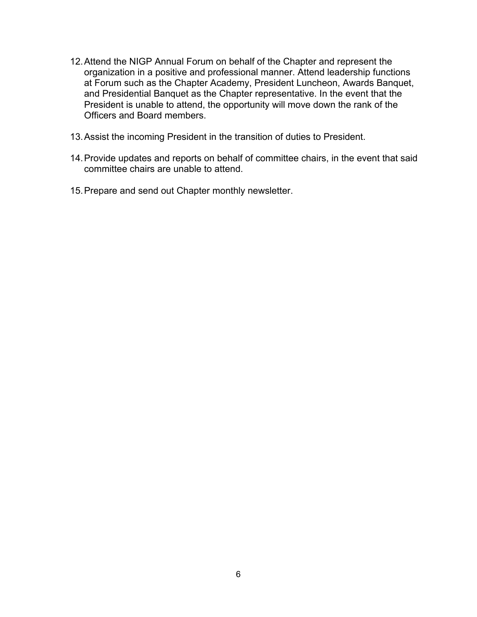- 12.Attend the NIGP Annual Forum on behalf of the Chapter and represent the organization in a positive and professional manner. Attend leadership functions at Forum such as the Chapter Academy, President Luncheon, Awards Banquet, and Presidential Banquet as the Chapter representative. In the event that the President is unable to attend, the opportunity will move down the rank of the Officers and Board members.
- 13.Assist the incoming President in the transition of duties to President.
- 14.Provide updates and reports on behalf of committee chairs, in the event that said committee chairs are unable to attend.
- 15.Prepare and send out Chapter monthly newsletter.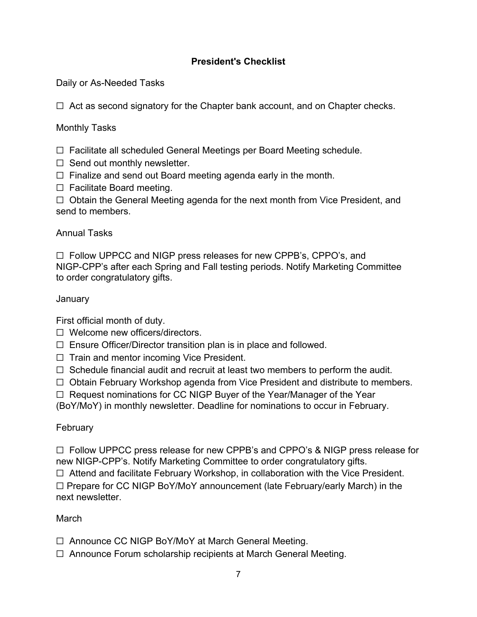# **President's Checklist**

Daily or As-Needed Tasks

 $\Box$  Act as second signatory for the Chapter bank account, and on Chapter checks.

Monthly Tasks

☐ Facilitate all scheduled General Meetings per Board Meeting schedule.

- $\Box$  Send out monthly newsletter.
- $\Box$  Finalize and send out Board meeting agenda early in the month.

☐ Facilitate Board meeting.

☐ Obtain the General Meeting agenda for the next month from Vice President, and send to members.

#### Annual Tasks

☐ Follow UPPCC and NIGP press releases for new CPPB's, CPPO's, and NIGP-CPP's after each Spring and Fall testing periods. Notify Marketing Committee to order congratulatory gifts.

#### **January**

First official month of duty.

- ☐ Welcome new officers/directors.
- ☐ Ensure Officer/Director transition plan is in place and followed.
- ☐ Train and mentor incoming Vice President.
- $\Box$  Schedule financial audit and recruit at least two members to perform the audit.
- ☐ Obtain February Workshop agenda from Vice President and distribute to members.
- ☐ Request nominations for CC NIGP Buyer of the Year/Manager of the Year

(BoY/MoY) in monthly newsletter. Deadline for nominations to occur in February.

## February

☐ Follow UPPCC press release for new CPPB's and CPPO's & NIGP press release for new NIGP-CPP's. Notify Marketing Committee to order congratulatory gifts.

☐ Attend and facilitate February Workshop, in collaboration with the Vice President.

☐ Prepare for CC NIGP BoY/MoY announcement (late February/early March) in the next newsletter.

## March

- ☐ Announce CC NIGP BoY/MoY at March General Meeting.
- ☐ Announce Forum scholarship recipients at March General Meeting.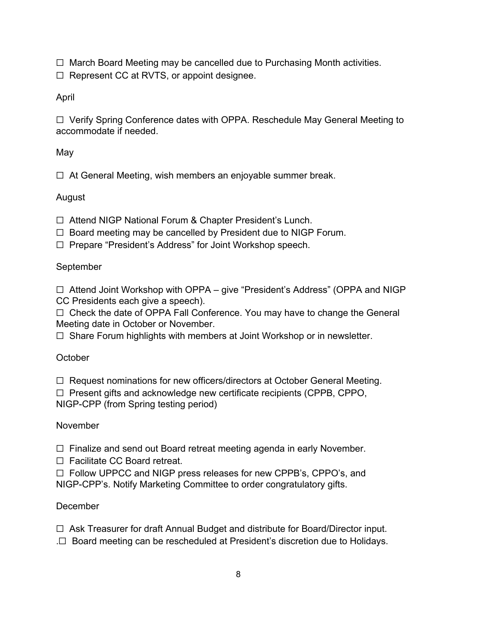☐ March Board Meeting may be cancelled due to Purchasing Month activities.

☐ Represent CC at RVTS, or appoint designee.

April

☐ Verify Spring Conference dates with OPPA. Reschedule May General Meeting to accommodate if needed.

May

 $\Box$  At General Meeting, wish members an enjoyable summer break.

# August

☐ Attend NIGP National Forum & Chapter President's Lunch.

- $\Box$  Board meeting may be cancelled by President due to NIGP Forum.
- ☐ Prepare "President's Address" for Joint Workshop speech.

# September

☐ Attend Joint Workshop with OPPA – give "President's Address" (OPPA and NIGP CC Presidents each give a speech).

☐ Check the date of OPPA Fall Conference. You may have to change the General Meeting date in October or November.

☐ Share Forum highlights with members at Joint Workshop or in newsletter.

**October** 

☐ Request nominations for new officers/directors at October General Meeting.

 $\Box$  Present gifts and acknowledge new certificate recipients (CPPB, CPPO, NIGP-CPP (from Spring testing period)

# November

 $\Box$  Finalize and send out Board retreat meeting agenda in early November.

☐ Facilitate CC Board retreat.

☐ Follow UPPCC and NIGP press releases for new CPPB's, CPPO's, and NIGP-CPP's. Notify Marketing Committee to order congratulatory gifts.

# December

☐ Ask Treasurer for draft Annual Budget and distribute for Board/Director input. .☐ Board meeting can be rescheduled at President's discretion due to Holidays.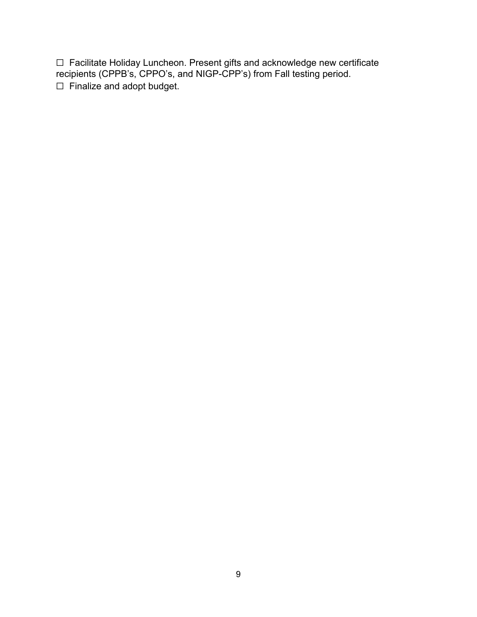☐ Facilitate Holiday Luncheon. Present gifts and acknowledge new certificate recipients (CPPB's, CPPO's, and NIGP-CPP's) from Fall testing period. ☐ Finalize and adopt budget.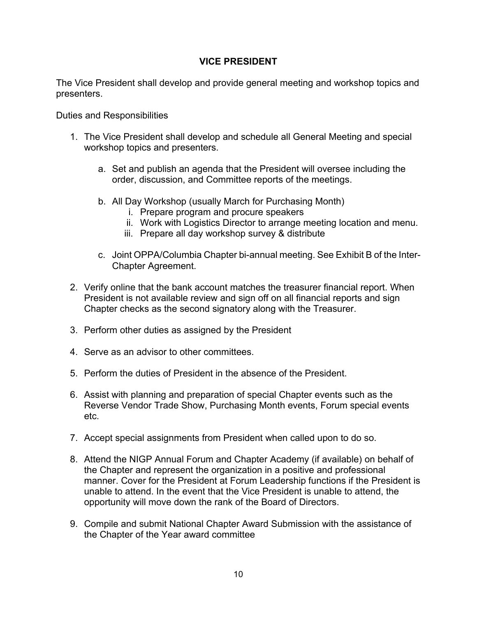#### **VICE PRESIDENT**

The Vice President shall develop and provide general meeting and workshop topics and presenters.

- 1. The Vice President shall develop and schedule all General Meeting and special workshop topics and presenters.
	- a. Set and publish an agenda that the President will oversee including the order, discussion, and Committee reports of the meetings.
	- b. All Day Workshop (usually March for Purchasing Month)
		- i. Prepare program and procure speakers
		- ii. Work with Logistics Director to arrange meeting location and menu.
		- iii. Prepare all day workshop survey & distribute
	- c. Joint OPPA/Columbia Chapter bi-annual meeting. See Exhibit B of the Inter-Chapter Agreement.
- 2. Verify online that the bank account matches the treasurer financial report. When President is not available review and sign off on all financial reports and sign Chapter checks as the second signatory along with the Treasurer.
- 3. Perform other duties as assigned by the President
- 4. Serve as an advisor to other committees.
- 5. Perform the duties of President in the absence of the President.
- 6. Assist with planning and preparation of special Chapter events such as the Reverse Vendor Trade Show, Purchasing Month events, Forum special events etc.
- 7. Accept special assignments from President when called upon to do so.
- 8. Attend the NIGP Annual Forum and Chapter Academy (if available) on behalf of the Chapter and represent the organization in a positive and professional manner. Cover for the President at Forum Leadership functions if the President is unable to attend. In the event that the Vice President is unable to attend, the opportunity will move down the rank of the Board of Directors.
- 9. Compile and submit National Chapter Award Submission with the assistance of the Chapter of the Year award committee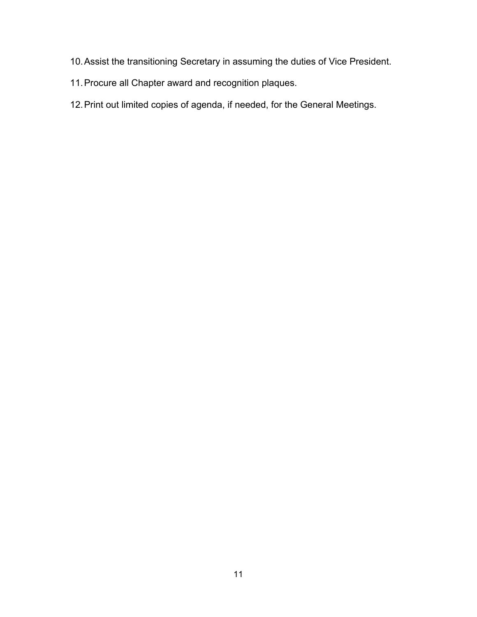- 10.Assist the transitioning Secretary in assuming the duties of Vice President.
- 11.Procure all Chapter award and recognition plaques.
- 12.Print out limited copies of agenda, if needed, for the General Meetings.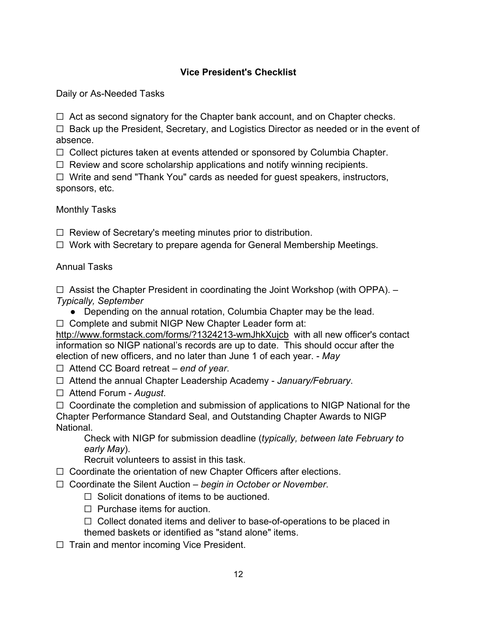# **Vice President's Checklist**

Daily or As-Needed Tasks

 $\Box$  Act as second signatory for the Chapter bank account, and on Chapter checks.

 $\Box$  Back up the President, Secretary, and Logistics Director as needed or in the event of absence.

☐ Collect pictures taken at events attended or sponsored by Columbia Chapter.

 $\Box$  Review and score scholarship applications and notify winning recipients.

☐ Write and send "Thank You" cards as needed for guest speakers, instructors, sponsors, etc.

Monthly Tasks

 $\Box$  Review of Secretary's meeting minutes prior to distribution.

☐ Work with Secretary to prepare agenda for General Membership Meetings.

Annual Tasks

 $\Box$  Assist the Chapter President in coordinating the Joint Workshop (with OPPA).  $-$ *Typically, September*

- Depending on the annual rotation, Columbia Chapter may be the lead.
- ☐ Complete and submit NIGP New Chapter Leader form at:

<http://www.formstack.com/forms/?1324213-wmJhkXujcb>with all new officer's contact information so NIGP national's records are up to date. This should occur after the election of new officers, and no later than June 1 of each year. - *May*

☐ Attend CC Board retreat – *end of year*.

- ☐ Attend the annual Chapter Leadership Academy *January/February*.
- ☐ Attend Forum *August*.

 $\Box$  Coordinate the completion and submission of applications to NIGP National for the Chapter Performance Standard Seal, and Outstanding Chapter Awards to NIGP National.

Check with NIGP for submission deadline (*typically, between late February to early May*).

Recruit volunteers to assist in this task.

- ☐ Coordinate the orientation of new Chapter Officers after elections.
- ☐ Coordinate the Silent Auction *begin in October or November*.
	- $\Box$  Solicit donations of items to be auctioned.
	- $\Box$  Purchase items for auction.
	- $\Box$  Collect donated items and deliver to base-of-operations to be placed in themed baskets or identified as "stand alone" items.
- ☐ Train and mentor incoming Vice President.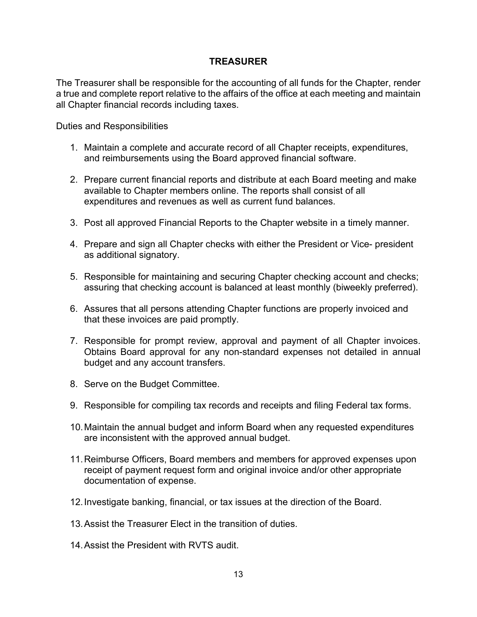#### **TREASURER**

The Treasurer shall be responsible for the accounting of all funds for the Chapter, render a true and complete report relative to the affairs of the office at each meeting and maintain all Chapter financial records including taxes.

- 1. Maintain a complete and accurate record of all Chapter receipts, expenditures, and reimbursements using the Board approved financial software.
- 2. Prepare current financial reports and distribute at each Board meeting and make available to Chapter members online. The reports shall consist of all expenditures and revenues as well as current fund balances.
- 3. Post all approved Financial Reports to the Chapter website in a timely manner.
- 4. Prepare and sign all Chapter checks with either the President or Vice- president as additional signatory.
- 5. Responsible for maintaining and securing Chapter checking account and checks; assuring that checking account is balanced at least monthly (biweekly preferred).
- 6. Assures that all persons attending Chapter functions are properly invoiced and that these invoices are paid promptly.
- 7. Responsible for prompt review, approval and payment of all Chapter invoices. Obtains Board approval for any non-standard expenses not detailed in annual budget and any account transfers.
- 8. Serve on the Budget Committee.
- 9. Responsible for compiling tax records and receipts and filing Federal tax forms.
- 10.Maintain the annual budget and inform Board when any requested expenditures are inconsistent with the approved annual budget.
- 11.Reimburse Officers, Board members and members for approved expenses upon receipt of payment request form and original invoice and/or other appropriate documentation of expense.
- 12.Investigate banking, financial, or tax issues at the direction of the Board.
- 13.Assist the Treasurer Elect in the transition of duties.
- 14.Assist the President with RVTS audit.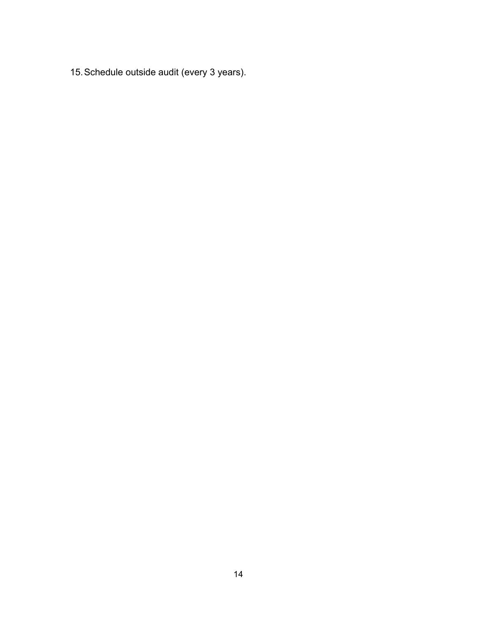15.Schedule outside audit (every 3 years).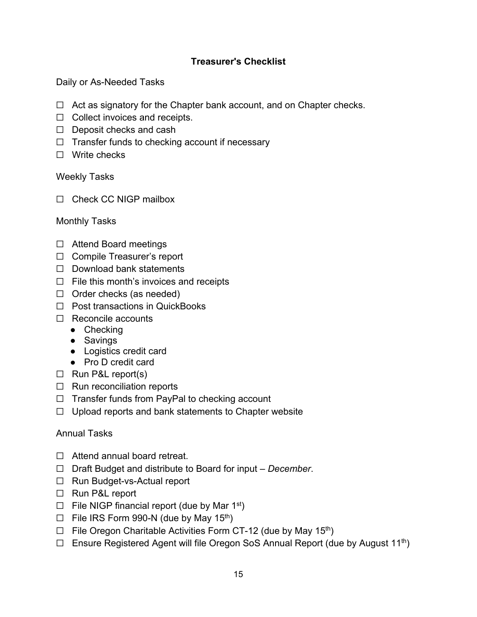# **Treasurer's Checklist**

Daily or As-Needed Tasks

- $\Box$  Act as signatory for the Chapter bank account, and on Chapter checks.
- ☐ Collect invoices and receipts.
- ☐ Deposit checks and cash
- $\Box$  Transfer funds to checking account if necessary
- ☐ Write checks

#### Weekly Tasks

□ Check CC NIGP mailbox

#### Monthly Tasks

- ☐ Attend Board meetings
- ☐ Compile Treasurer's report
- ☐ Download bank statements
- $\Box$  File this month's invoices and receipts
- $\Box$  Order checks (as needed)
- ☐ Post transactions in QuickBooks
- ☐ Reconcile accounts
	- Checking
	- Savings
	- Logistics credit card
	- Pro D credit card
- ☐ Run P&L report(s)
- ☐ Run reconciliation reports
- ☐ Transfer funds from PayPal to checking account
- ☐ Upload reports and bank statements to Chapter website

## Annual Tasks

- ☐ Attend annual board retreat.
- ☐ Draft Budget and distribute to Board for input *December*.
- ☐ Run Budget-vs-Actual report
- ☐ Run P&L report
- $\Box$  File NIGP financial report (due by Mar 1<sup>st</sup>)
- $\Box$  File IRS Form 990-N (due by May 15<sup>th</sup>)
- $\Box$  File Oregon Charitable Activities Form CT-12 (due by May 15<sup>th</sup>)
- $\Box$  Ensure Registered Agent will file Oregon SoS Annual Report (due by August 11<sup>th</sup>)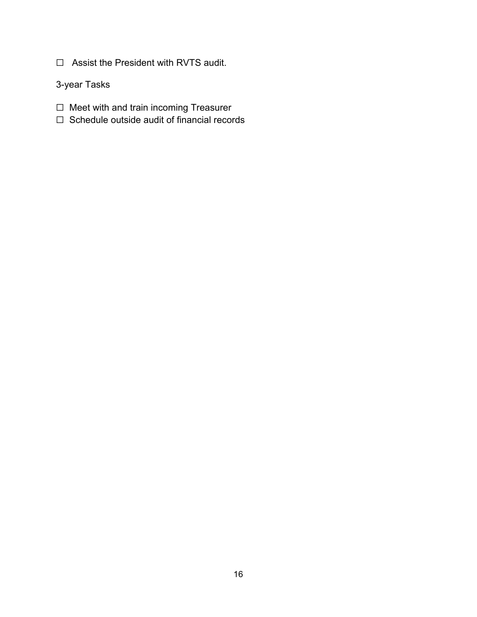☐ Assist the President with RVTS audit.

3-year Tasks

- ☐ Meet with and train incoming Treasurer
- ☐ Schedule outside audit of financial records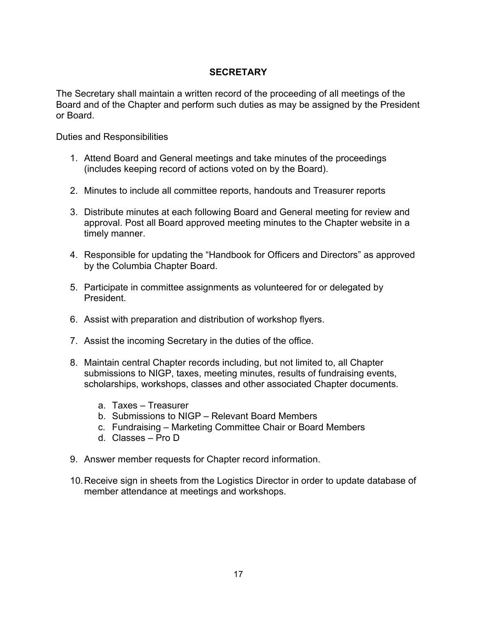# **SECRETARY**

The Secretary shall maintain a written record of the proceeding of all meetings of the Board and of the Chapter and perform such duties as may be assigned by the President or Board.

- 1. Attend Board and General meetings and take minutes of the proceedings (includes keeping record of actions voted on by the Board).
- 2. Minutes to include all committee reports, handouts and Treasurer reports
- 3. Distribute minutes at each following Board and General meeting for review and approval. Post all Board approved meeting minutes to the Chapter website in a timely manner.
- 4. Responsible for updating the "Handbook for Officers and Directors" as approved by the Columbia Chapter Board.
- 5. Participate in committee assignments as volunteered for or delegated by President.
- 6. Assist with preparation and distribution of workshop flyers.
- 7. Assist the incoming Secretary in the duties of the office.
- 8. Maintain central Chapter records including, but not limited to, all Chapter submissions to NIGP, taxes, meeting minutes, results of fundraising events, scholarships, workshops, classes and other associated Chapter documents.
	- a. Taxes Treasurer
	- b. Submissions to NIGP Relevant Board Members
	- c. Fundraising Marketing Committee Chair or Board Members
	- d. Classes Pro D
- 9. Answer member requests for Chapter record information.
- 10.Receive sign in sheets from the Logistics Director in order to update database of member attendance at meetings and workshops.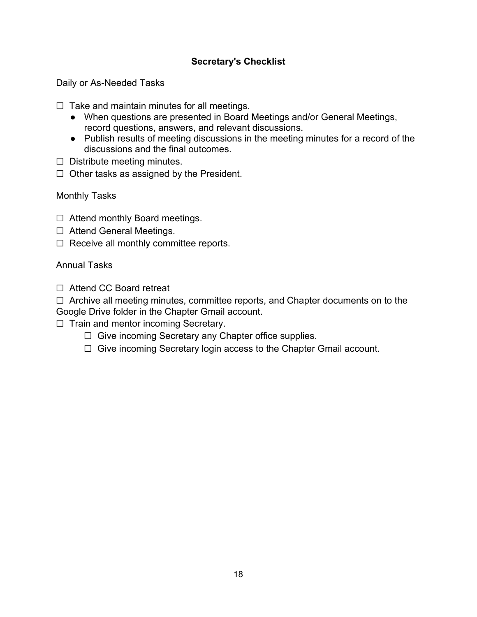# **Secretary's Checklist**

Daily or As-Needed Tasks

 $\Box$  Take and maintain minutes for all meetings.

- When questions are presented in Board Meetings and/or General Meetings, record questions, answers, and relevant discussions.
- Publish results of meeting discussions in the meeting minutes for a record of the discussions and the final outcomes.
- $\Box$  Distribute meeting minutes.
- $\Box$  Other tasks as assigned by the President.

Monthly Tasks

- ☐ Attend monthly Board meetings.
- ☐ Attend General Meetings.
- $\Box$  Receive all monthly committee reports.

#### Annual Tasks

☐ Attend CC Board retreat

□ Archive all meeting minutes, committee reports, and Chapter documents on to the Google Drive folder in the Chapter Gmail account.

- ☐ Train and mentor incoming Secretary.
	- ☐ Give incoming Secretary any Chapter office supplies.
	- ☐ Give incoming Secretary login access to the Chapter Gmail account.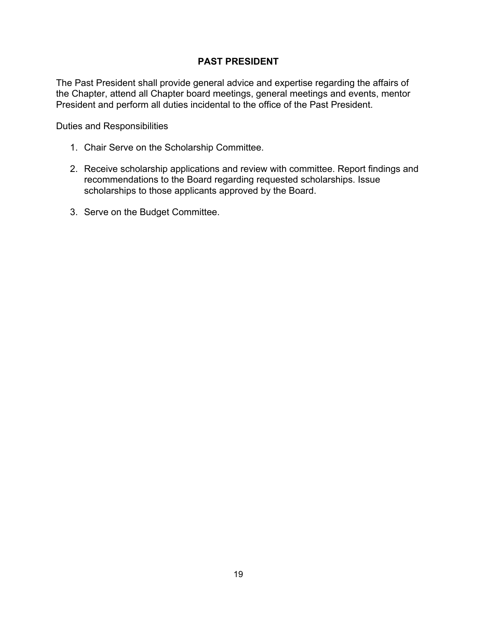#### **PAST PRESIDENT**

The Past President shall provide general advice and expertise regarding the affairs of the Chapter, attend all Chapter board meetings, general meetings and events, mentor President and perform all duties incidental to the office of the Past President.

- 1. Chair Serve on the Scholarship Committee.
- 2. Receive scholarship applications and review with committee. Report findings and recommendations to the Board regarding requested scholarships. Issue scholarships to those applicants approved by the Board.
- 3. Serve on the Budget Committee.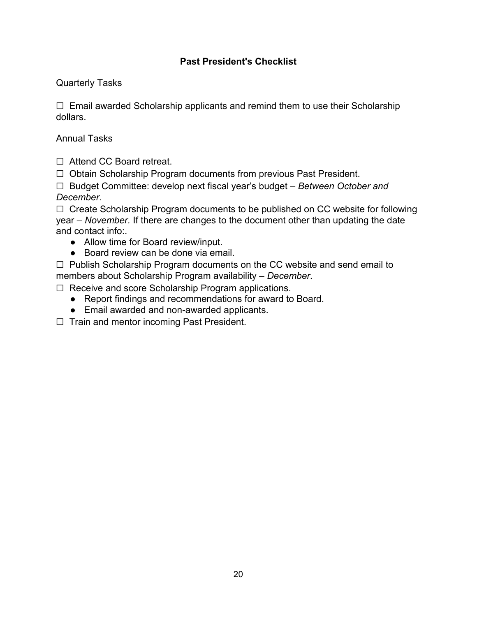# **Past President's Checklist**

# Quarterly Tasks

 $\Box$  Email awarded Scholarship applicants and remind them to use their Scholarship dollars.

# Annual Tasks

☐ Attend CC Board retreat.

☐ Obtain Scholarship Program documents from previous Past President.

☐ Budget Committee: develop next fiscal year's budget – *Between October and December*.

☐ Create Scholarship Program documents to be published on CC website for following year – *November.* If there are changes to the document other than updating the date and contact info:.

- Allow time for Board review/input.
- Board review can be done via email.

☐ Publish Scholarship Program documents on the CC website and send email to members about Scholarship Program availability – *December*.

☐ Receive and score Scholarship Program applications.

- Report findings and recommendations for award to Board.
- Email awarded and non-awarded applicants.

☐ Train and mentor incoming Past President.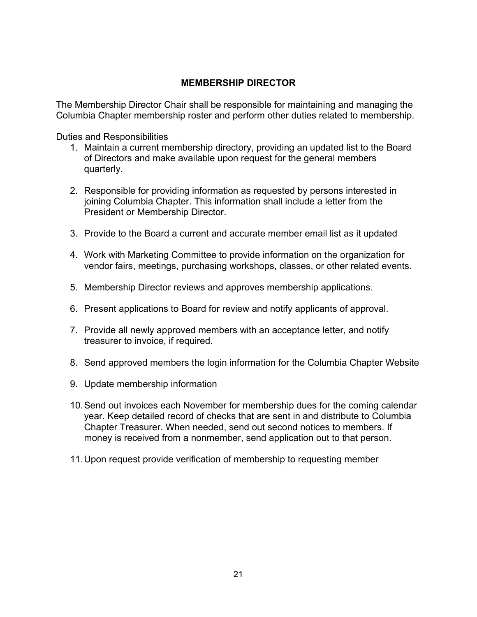#### **MEMBERSHIP DIRECTOR**

The Membership Director Chair shall be responsible for maintaining and managing the Columbia Chapter membership roster and perform other duties related to membership.

- 1. Maintain a current membership directory, providing an updated list to the Board of Directors and make available upon request for the general members quarterly.
- 2. Responsible for providing information as requested by persons interested in joining Columbia Chapter. This information shall include a letter from the President or Membership Director.
- 3. Provide to the Board a current and accurate member email list as it updated
- 4. Work with Marketing Committee to provide information on the organization for vendor fairs, meetings, purchasing workshops, classes, or other related events.
- 5. Membership Director reviews and approves membership applications.
- 6. Present applications to Board for review and notify applicants of approval.
- 7. Provide all newly approved members with an acceptance letter, and notify treasurer to invoice, if required.
- 8. Send approved members the login information for the Columbia Chapter Website
- 9. Update membership information
- 10.Send out invoices each November for membership dues for the coming calendar year. Keep detailed record of checks that are sent in and distribute to Columbia Chapter Treasurer. When needed, send out second notices to members. If money is received from a nonmember, send application out to that person.
- 11.Upon request provide verification of membership to requesting member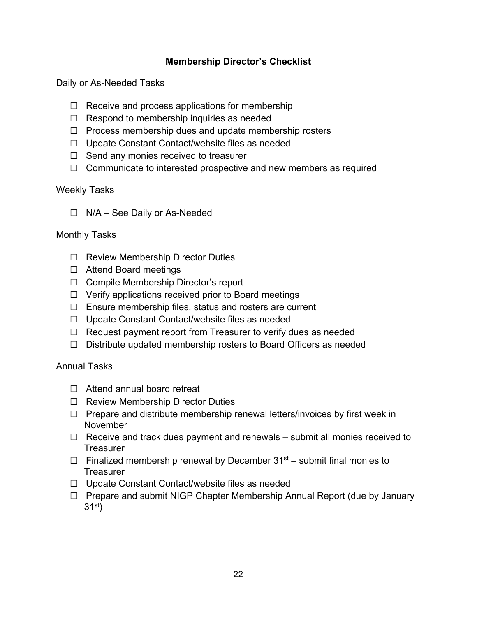### **Membership Director's Checklist**

Daily or As-Needed Tasks

- $\Box$  Receive and process applications for membership
- $\Box$  Respond to membership inquiries as needed
- $\Box$  Process membership dues and update membership rosters
- ☐ Update Constant Contact/website files as needed
- ☐ Send any monies received to treasurer
- $\Box$  Communicate to interested prospective and new members as required

#### Weekly Tasks

☐ N/A – See Daily or As-Needed

#### Monthly Tasks

- ☐ Review Membership Director Duties
- ☐ Attend Board meetings
- ☐ Compile Membership Director's report
- $\Box$  Verify applications received prior to Board meetings
- $\Box$  Ensure membership files, status and rosters are current
- ☐ Update Constant Contact/website files as needed
- ☐ Request payment report from Treasurer to verify dues as needed
- ☐ Distribute updated membership rosters to Board Officers as needed

#### Annual Tasks

- ☐ Attend annual board retreat
- ☐ Review Membership Director Duties
- $\Box$  Prepare and distribute membership renewal letters/invoices by first week in November
- $\Box$  Receive and track dues payment and renewals submit all monies received to **Treasurer**
- $\Box$  Finalized membership renewal by December 31<sup>st</sup> submit final monies to **Treasurer**
- ☐ Update Constant Contact/website files as needed
- ☐ Prepare and submit NIGP Chapter Membership Annual Report (due by January  $31<sup>st</sup>$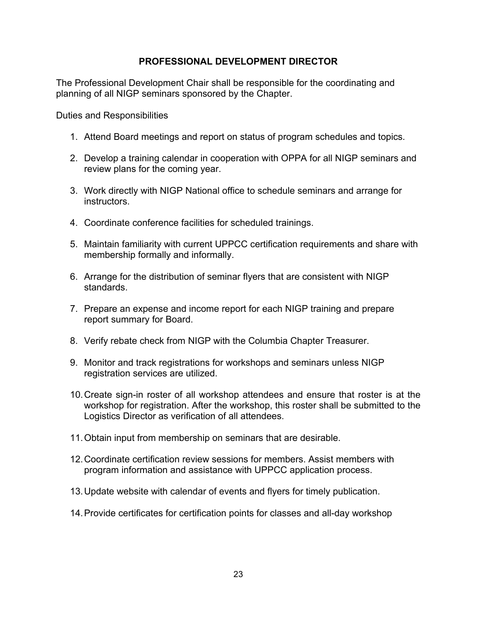#### **PROFESSIONAL DEVELOPMENT DIRECTOR**

The Professional Development Chair shall be responsible for the coordinating and planning of all NIGP seminars sponsored by the Chapter.

- 1. Attend Board meetings and report on status of program schedules and topics.
- 2. Develop a training calendar in cooperation with OPPA for all NIGP seminars and review plans for the coming year.
- 3. Work directly with NIGP National office to schedule seminars and arrange for instructors.
- 4. Coordinate conference facilities for scheduled trainings.
- 5. Maintain familiarity with current UPPCC certification requirements and share with membership formally and informally.
- 6. Arrange for the distribution of seminar flyers that are consistent with NIGP standards.
- 7. Prepare an expense and income report for each NIGP training and prepare report summary for Board.
- 8. Verify rebate check from NIGP with the Columbia Chapter Treasurer.
- 9. Monitor and track registrations for workshops and seminars unless NIGP registration services are utilized.
- 10.Create sign-in roster of all workshop attendees and ensure that roster is at the workshop for registration. After the workshop, this roster shall be submitted to the Logistics Director as verification of all attendees.
- 11.Obtain input from membership on seminars that are desirable.
- 12.Coordinate certification review sessions for members. Assist members with program information and assistance with UPPCC application process.
- 13.Update website with calendar of events and flyers for timely publication.
- 14.Provide certificates for certification points for classes and all-day workshop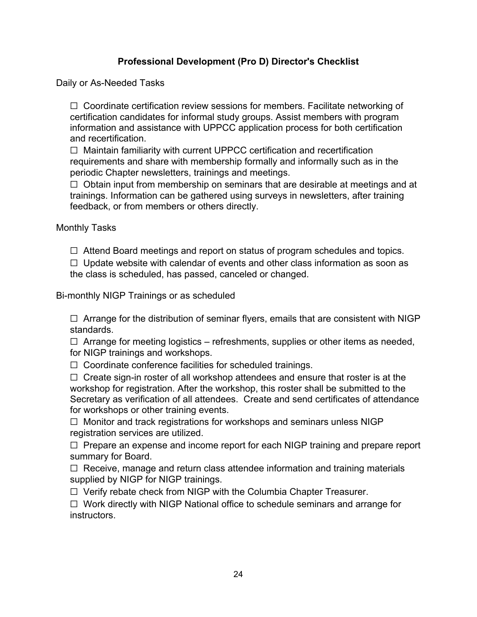# **Professional Development (Pro D) Director's Checklist**

Daily or As-Needed Tasks

☐ Coordinate certification review sessions for members. Facilitate networking of certification candidates for informal study groups. Assist members with program information and assistance with UPPCC application process for both certification and recertification.

☐ Maintain familiarity with current UPPCC certification and recertification requirements and share with membership formally and informally such as in the periodic Chapter newsletters, trainings and meetings.

 $\Box$  Obtain input from membership on seminars that are desirable at meetings and at trainings. Information can be gathered using surveys in newsletters, after training feedback, or from members or others directly.

Monthly Tasks

☐ Attend Board meetings and report on status of program schedules and topics.

 $\Box$  Update website with calendar of events and other class information as soon as the class is scheduled, has passed, canceled or changed.

Bi-monthly NIGP Trainings or as scheduled

 $\Box$  Arrange for the distribution of seminar flyers, emails that are consistent with NIGP standards.

 $\Box$  Arrange for meeting logistics – refreshments, supplies or other items as needed, for NIGP trainings and workshops.

 $\Box$  Coordinate conference facilities for scheduled trainings.

 $\Box$  Create sign-in roster of all workshop attendees and ensure that roster is at the workshop for registration. After the workshop, this roster shall be submitted to the Secretary as verification of all attendees. Create and send certificates of attendance for workshops or other training events.

 $\Box$  Monitor and track registrations for workshops and seminars unless NIGP registration services are utilized.

□ Prepare an expense and income report for each NIGP training and prepare report summary for Board.

 $\Box$  Receive, manage and return class attendee information and training materials supplied by NIGP for NIGP trainings.

☐ Verify rebate check from NIGP with the Columbia Chapter Treasurer.

☐ Work directly with NIGP National office to schedule seminars and arrange for instructors.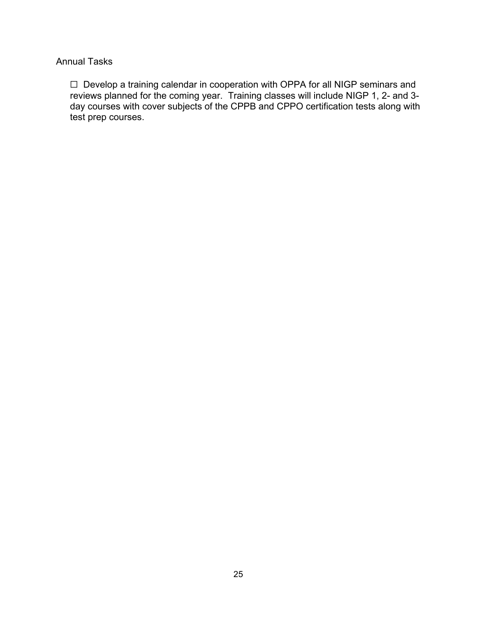#### Annual Tasks

☐ Develop a training calendar in cooperation with OPPA for all NIGP seminars and reviews planned for the coming year. Training classes will include NIGP 1, 2- and 3 day courses with cover subjects of the CPPB and CPPO certification tests along with test prep courses.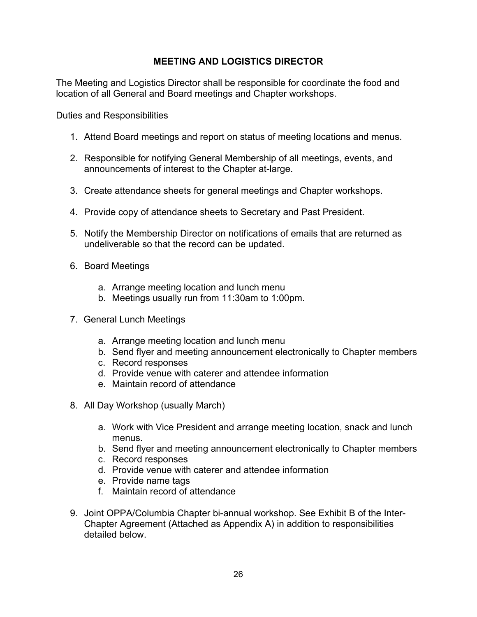# **MEETING AND LOGISTICS DIRECTOR**

The Meeting and Logistics Director shall be responsible for coordinate the food and location of all General and Board meetings and Chapter workshops.

- 1. Attend Board meetings and report on status of meeting locations and menus.
- 2. Responsible for notifying General Membership of all meetings, events, and announcements of interest to the Chapter at-large.
- 3. Create attendance sheets for general meetings and Chapter workshops.
- 4. Provide copy of attendance sheets to Secretary and Past President.
- 5. Notify the Membership Director on notifications of emails that are returned as undeliverable so that the record can be updated.
- 6. Board Meetings
	- a. Arrange meeting location and lunch menu
	- b. Meetings usually run from 11:30am to 1:00pm.
- 7. General Lunch Meetings
	- a. Arrange meeting location and lunch menu
	- b. Send flyer and meeting announcement electronically to Chapter members
	- c. Record responses
	- d. Provide venue with caterer and attendee information
	- e. Maintain record of attendance
- 8. All Day Workshop (usually March)
	- a. Work with Vice President and arrange meeting location, snack and lunch menus.
	- b. Send flyer and meeting announcement electronically to Chapter members
	- c. Record responses
	- d. Provide venue with caterer and attendee information
	- e. Provide name tags
	- f. Maintain record of attendance
- 9. Joint OPPA/Columbia Chapter bi-annual workshop. See Exhibit B of the Inter-Chapter Agreement (Attached as Appendix A) in addition to responsibilities detailed below.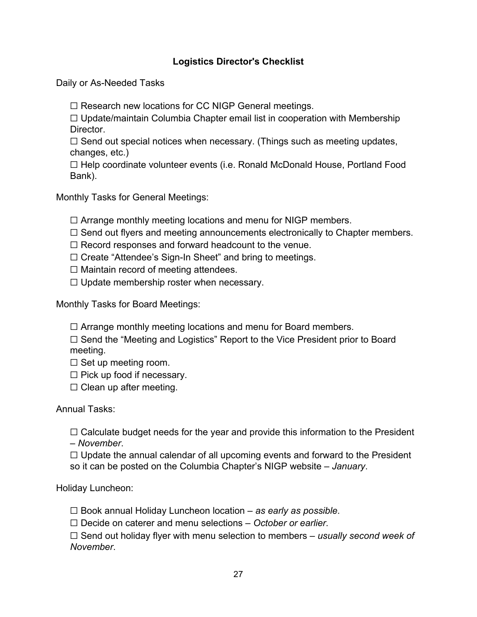# **Logistics Director's Checklist**

Daily or As-Needed Tasks

☐ Research new locations for CC NIGP General meetings.

 $\Box$  Update/maintain Columbia Chapter email list in cooperation with Membership Director.

 $\Box$  Send out special notices when necessary. (Things such as meeting updates, changes, etc.)

☐ Help coordinate volunteer events (i.e. Ronald McDonald House, Portland Food Bank).

Monthly Tasks for General Meetings:

 $\Box$  Arrange monthly meeting locations and menu for NIGP members.

 $\Box$  Send out flyers and meeting announcements electronically to Chapter members.

 $\Box$  Record responses and forward headcount to the venue.

☐ Create "Attendee's Sign-In Sheet" and bring to meetings.

 $\Box$  Maintain record of meeting attendees.

 $\Box$  Update membership roster when necessary.

Monthly Tasks for Board Meetings:

 $\Box$  Arrange monthly meeting locations and menu for Board members.

☐ Send the "Meeting and Logistics" Report to the Vice President prior to Board meeting.

 $\Box$  Set up meeting room.

 $\Box$  Pick up food if necessary.

 $\Box$  Clean up after meeting.

Annual Tasks:

 $\Box$  Calculate budget needs for the year and provide this information to the President – *November*.

 $\Box$  Update the annual calendar of all upcoming events and forward to the President so it can be posted on the Columbia Chapter's NIGP website – *January*.

Holiday Luncheon:

☐ Book annual Holiday Luncheon location – *as early as possible*.

☐ Decide on caterer and menu selections – *October or earlier*.

☐ Send out holiday flyer with menu selection to members – *usually second week of November*.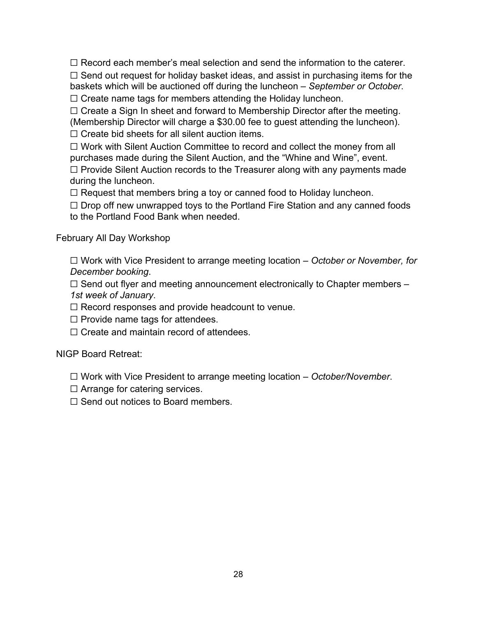$\Box$  Record each member's meal selection and send the information to the caterer.  $\Box$  Send out request for holiday basket ideas, and assist in purchasing items for the baskets which will be auctioned off during the luncheon – *September or October*.

☐ Create name tags for members attending the Holiday luncheon.

□ Create a Sign In sheet and forward to Membership Director after the meeting. (Membership Director will charge a \$30.00 fee to guest attending the luncheon).

 $\Box$  Create bid sheets for all silent auction items.

☐ Work with Silent Auction Committee to record and collect the money from all purchases made during the Silent Auction, and the "Whine and Wine", event.

☐ Provide Silent Auction records to the Treasurer along with any payments made during the luncheon.

 $\Box$  Request that members bring a toy or canned food to Holiday luncheon.

 $\Box$  Drop off new unwrapped toys to the Portland Fire Station and any canned foods to the Portland Food Bank when needed.

#### February All Day Workshop

☐ Work with Vice President to arrange meeting location – *October or November, for December booking*.

 $\Box$  Send out flyer and meeting announcement electronically to Chapter members – *1st week of January*.

 $\Box$  Record responses and provide headcount to venue.

 $\Box$  Provide name tags for attendees.

☐ Create and maintain record of attendees.

## NIGP Board Retreat:

☐ Work with Vice President to arrange meeting location – *October/November*.

- $\Box$  Arrange for catering services.
- ☐ Send out notices to Board members.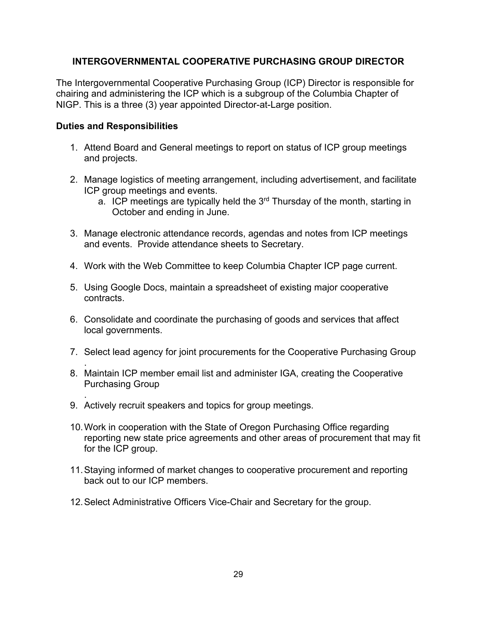#### **INTERGOVERNMENTAL COOPERATIVE PURCHASING GROUP DIRECTOR**

The Intergovernmental Cooperative Purchasing Group (ICP) Director is responsible for chairing and administering the ICP which is a subgroup of the Columbia Chapter of NIGP. This is a three (3) year appointed Director-at-Large position.

- 1. Attend Board and General meetings to report on status of ICP group meetings and projects.
- 2. Manage logistics of meeting arrangement, including advertisement, and facilitate ICP group meetings and events.
	- a. ICP meetings are typically held the  $3<sup>rd</sup>$  Thursday of the month, starting in October and ending in June.
- 3. Manage electronic attendance records, agendas and notes from ICP meetings and events. Provide attendance sheets to Secretary.
- 4. Work with the Web Committee to keep Columbia Chapter ICP page current.
- 5. Using Google Docs, maintain a spreadsheet of existing major cooperative contracts.
- 6. Consolidate and coordinate the purchasing of goods and services that affect local governments.
- 7. Select lead agency for joint procurements for the Cooperative Purchasing Group
- . 8. Maintain ICP member email list and administer IGA, creating the Cooperative Purchasing Group
- . 9. Actively recruit speakers and topics for group meetings.
- 10.Work in cooperation with the State of Oregon Purchasing Office regarding reporting new state price agreements and other areas of procurement that may fit for the ICP group.
- 11.Staying informed of market changes to cooperative procurement and reporting back out to our ICP members.
- 12.Select Administrative Officers Vice-Chair and Secretary for the group.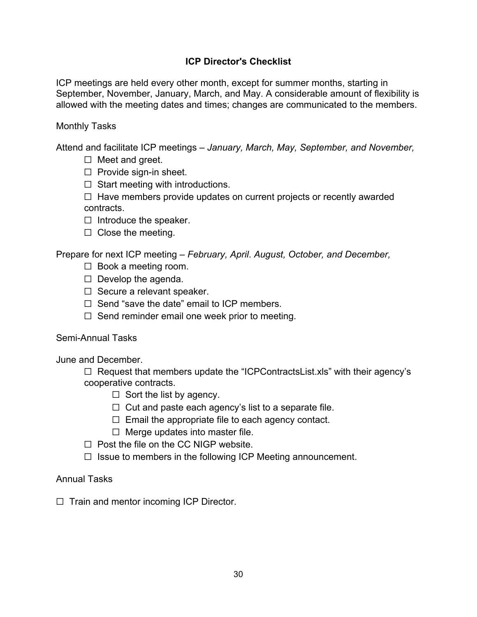## **ICP Director's Checklist**

ICP meetings are held every other month, except for summer months, starting in September, November, January, March, and May. A considerable amount of flexibility is allowed with the meeting dates and times; changes are communicated to the members.

#### Monthly Tasks

Attend and facilitate ICP meetings – *January, March, May, September, and November,*

- $\Box$  Meet and greet.
- $\Box$  Provide sign-in sheet.
- $\Box$  Start meeting with introductions.

 $\Box$  Have members provide updates on current projects or recently awarded contracts.

- $\Box$  Introduce the speaker.
- $\Box$  Close the meeting.

Prepare for next ICP meeting – *February, April*. *August, October, and December,* 

- ☐ Book a meeting room.
- $\Box$  Develop the agenda.
- ☐ Secure a relevant speaker.
- $\Box$  Send "save the date" email to ICP members.
- $\Box$  Send reminder email one week prior to meeting.

#### Semi-Annual Tasks

June and December.

☐ Request that members update the "ICPContractsList.xls" with their agency's cooperative contracts.

- $\Box$  Sort the list by agency.
- $\Box$  Cut and paste each agency's list to a separate file.
- $\Box$  Email the appropriate file to each agency contact.
- $\Box$  Merge updates into master file.
- $\Box$  Post the file on the CC NIGP website.
- $\Box$  Issue to members in the following ICP Meeting announcement.

#### Annual Tasks

 $\Box$  Train and mentor incoming ICP Director.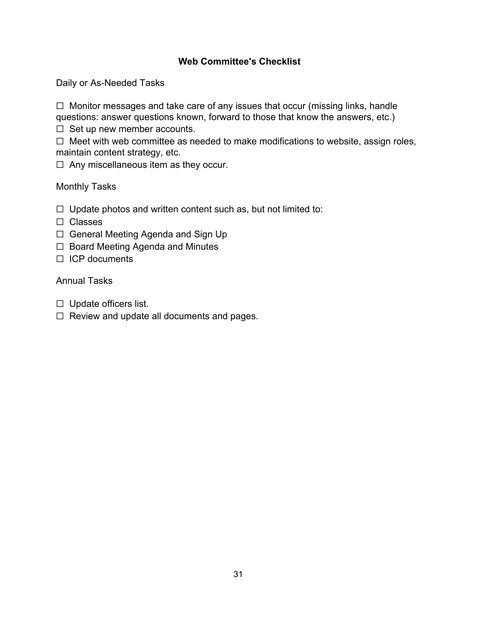## **Web Committee's Checklist**

Daily or As-Needed Tasks

☐ Monitor messages and take care of any issues that occur (missing links, handle questions: answer questions known, forward to those that know the answers, etc.)

 $\Box$  Set up new member accounts.

☐ Meet with web committee as needed to make modifications to website, assign roles, maintain content strategy, etc.

☐ Any miscellaneous item as they occur.

#### Monthly Tasks

- $\Box$  Update photos and written content such as, but not limited to:
- ☐ Classes
- ☐ General Meeting Agenda and Sign Up
- ☐ Board Meeting Agenda and Minutes
- ☐ ICP documents

#### Annual Tasks

- ☐ Update officers list.
- ☐ Review and update all documents and pages.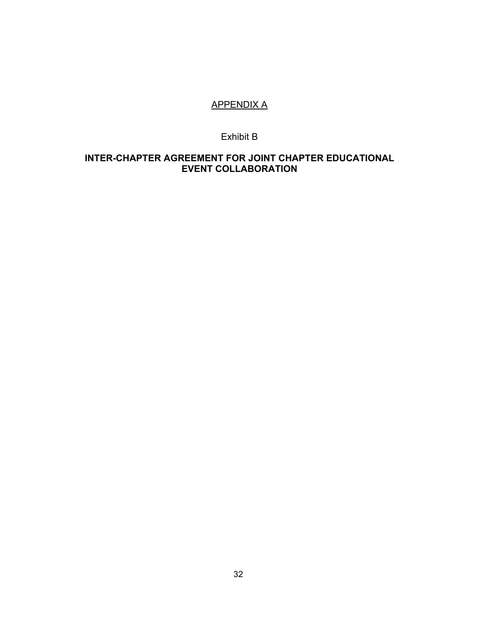# APPENDIX A

#### Exhibit B

#### **INTER-CHAPTER AGREEMENT FOR JOINT CHAPTER EDUCATIONAL EVENT COLLABORATION**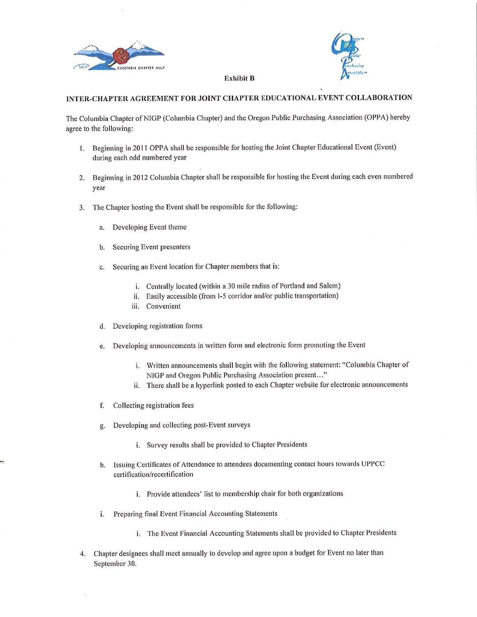



#### **Exhibit B**

#### INTER-CHAPTER AGREEMENT FOR JOINT CHAPTER EDUCATIONAL EVENT COLLABORATION

The Columbia Chapter of NIGP (Columbia Chapter) and the Oregon Public Purchasing Association (OPPA) hereby agree to the following:

- 1. Beginning in 2011 OPPA shall be responsible for hosting the Joint Chapter Educational Event (Event) during each odd numbered year
- 2. Beginning in 2012 Columbia Chapter shall be responsible for hosting the Event during each even numbered year
- The Chapter hosting the Event shall be responsible for the following: 3.
	- Developing Event theme a.
	- Securing Event presenters  $\mathbf{h}$
	- Securing an Event location for Chapter members that is: c.
		- i. Centrally located (within a 30 mile radius of Portland and Salem)
		- ii. Easily accessible (from I-5 corridor and/or public transportation)
		- iii. Convenient
	- d. Developing registration forms
	- Developing announcements in written form and electronic form promoting the Event  $e$ .
		- i. Written announcements shall begin with the following statement: "Columbia Chapter of NIGP and Oregon Public Purchasing Association present..."
		- ii. There shall be a hyperlink posted to each Chapter website for electronic announcements
	- f. Collecting registration fees
	- Developing and collecting post-Event surveys g.
		- i. Survey results shall be provided to Chapter Presidents
	- Issuing Certificates of Attendance to attendees documenting contact hours towards UPPCC h. certification/recertification
		- i. Provide attendees' list to membership chair for both organizations
	- Preparing final Event Financial Accounting Statements i.
		- i. The Event Financial Accounting Statements shall be provided to Chapter Presidents
- Chapter designees shall meet annually to develop and agree upon a budget for Event no later than 4. September 30.